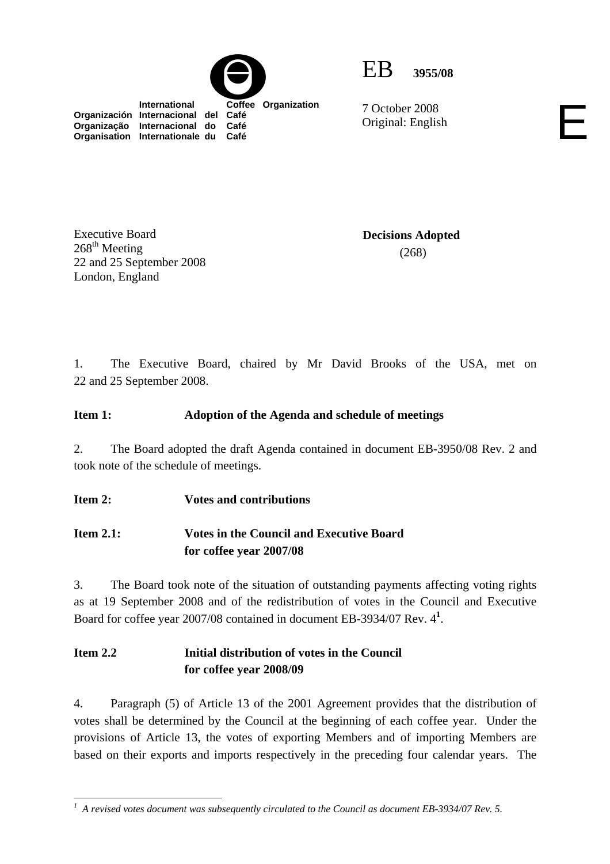



7 October 2008 7 October 2008<br>Original: English

 **International Coffee Organization Organización Internacional del Café Organização Internacional do Café Organisation Internationale du Café**

Executive Board  $268^{\text{th}}$  Meeting 22 and 25 September 2008 London, England

**Decisions Adopted**  (268)

1. The Executive Board, chaired by Mr David Brooks of the USA, met on 22 and 25 September 2008.

## **Item 1: Adoption of the Agenda and schedule of meetings**

2. The Board adopted the draft Agenda contained in document EB-3950/08 Rev. 2 and took note of the schedule of meetings.

**Item 2: Votes and contributions** 

# **Item 2.1: Votes in the Council and Executive Board for coffee year 2007/08**

3. The Board took note of the situation of outstanding payments affecting voting rights as at 19 September 2008 and of the redistribution of votes in the Council and Executive Board for coffee year 2007/08 contained in document EB-3934/07 Rev. 4**<sup>1</sup>** .

# **Item 2.2 Initial distribution of votes in the Council for coffee year 2008/09**

4. Paragraph (5) of Article 13 of the 2001 Agreement provides that the distribution of votes shall be determined by the Council at the beginning of each coffee year. Under the provisions of Article 13, the votes of exporting Members and of importing Members are based on their exports and imports respectively in the preceding four calendar years. The

<sup>&</sup>lt;sup>1</sup> A revised votes document was subsequently circulated to the Council as document EB-3934/07 Rev. 5.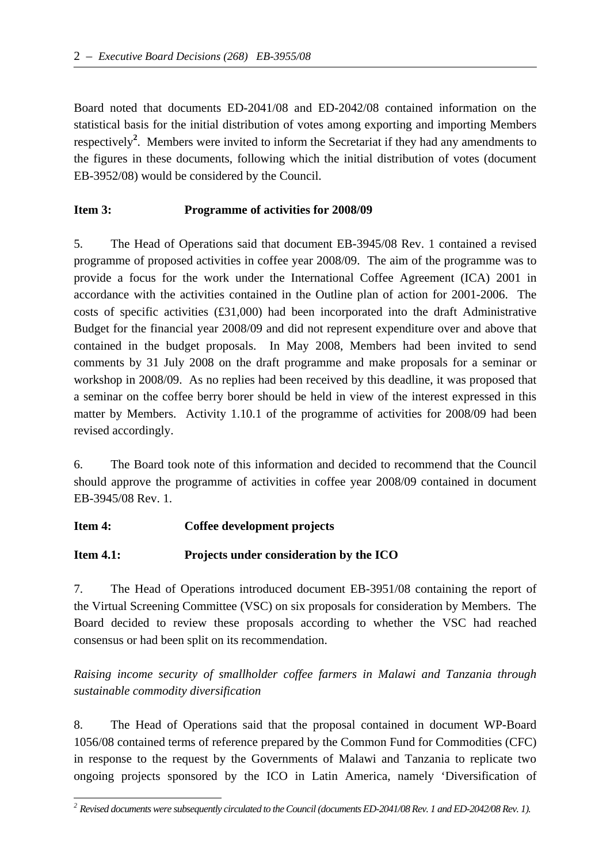Board noted that documents ED-2041/08 and ED-2042/08 contained information on the statistical basis for the initial distribution of votes among exporting and importing Members respectively**<sup>2</sup>** . Members were invited to inform the Secretariat if they had any amendments to the figures in these documents, following which the initial distribution of votes (document EB-3952/08) would be considered by the Council.

### **Item 3: Programme of activities for 2008/09**

5. The Head of Operations said that document EB-3945/08 Rev. 1 contained a revised programme of proposed activities in coffee year 2008/09. The aim of the programme was to provide a focus for the work under the International Coffee Agreement (ICA) 2001 in accordance with the activities contained in the Outline plan of action for 2001-2006. The costs of specific activities (£31,000) had been incorporated into the draft Administrative Budget for the financial year 2008/09 and did not represent expenditure over and above that contained in the budget proposals. In May 2008, Members had been invited to send comments by 31 July 2008 on the draft programme and make proposals for a seminar or workshop in 2008/09. As no replies had been received by this deadline, it was proposed that a seminar on the coffee berry borer should be held in view of the interest expressed in this matter by Members. Activity 1.10.1 of the programme of activities for 2008/09 had been revised accordingly.

6. The Board took note of this information and decided to recommend that the Council should approve the programme of activities in coffee year 2008/09 contained in document EB-3945/08 Rev. 1.

### **Item 4: Coffee development projects**

### **Item 4.1: Projects under consideration by the ICO**

7. The Head of Operations introduced document EB-3951/08 containing the report of the Virtual Screening Committee (VSC) on six proposals for consideration by Members. The Board decided to review these proposals according to whether the VSC had reached consensus or had been split on its recommendation.

*Raising income security of smallholder coffee farmers in Malawi and Tanzania through sustainable commodity diversification* 

8. The Head of Operations said that the proposal contained in document WP-Board 1056/08 contained terms of reference prepared by the Common Fund for Commodities (CFC) in response to the request by the Governments of Malawi and Tanzania to replicate two ongoing projects sponsored by the ICO in Latin America, namely 'Diversification of

 *2 Revised documents were subsequently circulated to the Council (documents ED-2041/08 Rev. 1 and ED-2042/08 Rev. 1).*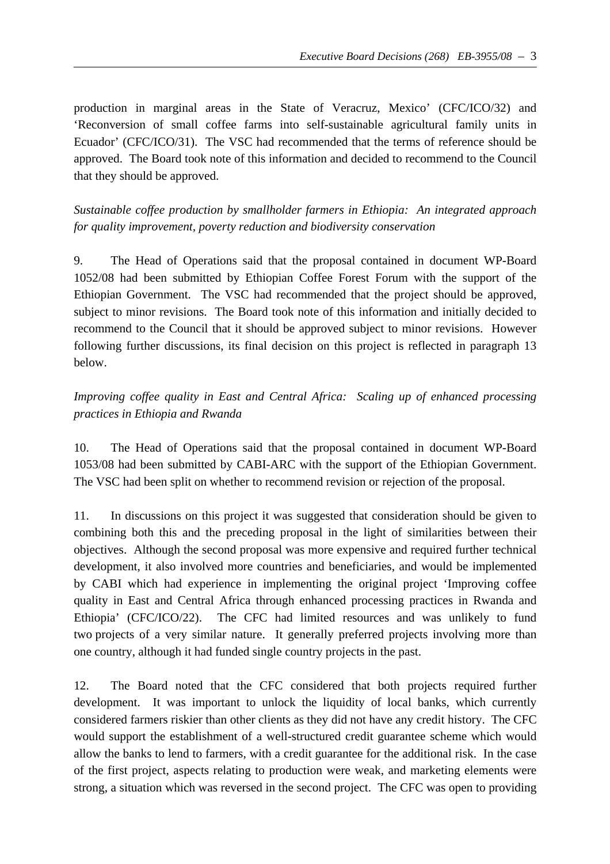production in marginal areas in the State of Veracruz, Mexico' (CFC/ICO/32) and 'Reconversion of small coffee farms into self-sustainable agricultural family units in Ecuador' (CFC/ICO/31). The VSC had recommended that the terms of reference should be approved. The Board took note of this information and decided to recommend to the Council that they should be approved.

*Sustainable coffee production by smallholder farmers in Ethiopia: An integrated approach for quality improvement, poverty reduction and biodiversity conservation*

9. The Head of Operations said that the proposal contained in document WP-Board 1052/08 had been submitted by Ethiopian Coffee Forest Forum with the support of the Ethiopian Government. The VSC had recommended that the project should be approved, subject to minor revisions. The Board took note of this information and initially decided to recommend to the Council that it should be approved subject to minor revisions. However following further discussions, its final decision on this project is reflected in paragraph 13 below.

*Improving coffee quality in East and Central Africa: Scaling up of enhanced processing practices in Ethiopia and Rwanda*

10. The Head of Operations said that the proposal contained in document WP-Board 1053/08 had been submitted by CABI-ARC with the support of the Ethiopian Government. The VSC had been split on whether to recommend revision or rejection of the proposal.

11. In discussions on this project it was suggested that consideration should be given to combining both this and the preceding proposal in the light of similarities between their objectives. Although the second proposal was more expensive and required further technical development, it also involved more countries and beneficiaries, and would be implemented by CABI which had experience in implementing the original project 'Improving coffee quality in East and Central Africa through enhanced processing practices in Rwanda and Ethiopia' (CFC/ICO/22). The CFC had limited resources and was unlikely to fund two projects of a very similar nature. It generally preferred projects involving more than one country, although it had funded single country projects in the past.

12. The Board noted that the CFC considered that both projects required further development. It was important to unlock the liquidity of local banks, which currently considered farmers riskier than other clients as they did not have any credit history. The CFC would support the establishment of a well-structured credit guarantee scheme which would allow the banks to lend to farmers, with a credit guarantee for the additional risk. In the case of the first project, aspects relating to production were weak, and marketing elements were strong, a situation which was reversed in the second project. The CFC was open to providing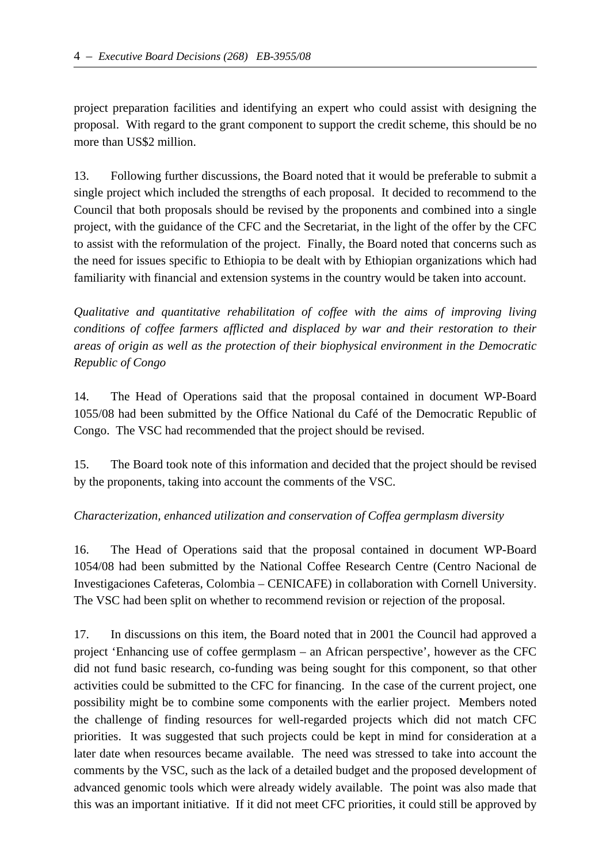project preparation facilities and identifying an expert who could assist with designing the proposal. With regard to the grant component to support the credit scheme, this should be no more than US\$2 million.

13. Following further discussions, the Board noted that it would be preferable to submit a single project which included the strengths of each proposal. It decided to recommend to the Council that both proposals should be revised by the proponents and combined into a single project, with the guidance of the CFC and the Secretariat, in the light of the offer by the CFC to assist with the reformulation of the project. Finally, the Board noted that concerns such as the need for issues specific to Ethiopia to be dealt with by Ethiopian organizations which had familiarity with financial and extension systems in the country would be taken into account.

*Qualitative and quantitative rehabilitation of coffee with the aims of improving living conditions of coffee farmers afflicted and displaced by war and their restoration to their areas of origin as well as the protection of their biophysical environment in the Democratic Republic of Congo*

14. The Head of Operations said that the proposal contained in document WP-Board 1055/08 had been submitted by the Office National du Café of the Democratic Republic of Congo. The VSC had recommended that the project should be revised.

15. The Board took note of this information and decided that the project should be revised by the proponents, taking into account the comments of the VSC.

### *Characterization, enhanced utilization and conservation of Coffea germplasm diversity*

16. The Head of Operations said that the proposal contained in document WP-Board 1054/08 had been submitted by the National Coffee Research Centre (Centro Nacional de Investigaciones Cafeteras, Colombia – CENICAFE) in collaboration with Cornell University. The VSC had been split on whether to recommend revision or rejection of the proposal.

17. In discussions on this item, the Board noted that in 2001 the Council had approved a project 'Enhancing use of coffee germplasm – an African perspective', however as the CFC did not fund basic research, co-funding was being sought for this component, so that other activities could be submitted to the CFC for financing. In the case of the current project, one possibility might be to combine some components with the earlier project. Members noted the challenge of finding resources for well-regarded projects which did not match CFC priorities. It was suggested that such projects could be kept in mind for consideration at a later date when resources became available. The need was stressed to take into account the comments by the VSC, such as the lack of a detailed budget and the proposed development of advanced genomic tools which were already widely available. The point was also made that this was an important initiative. If it did not meet CFC priorities, it could still be approved by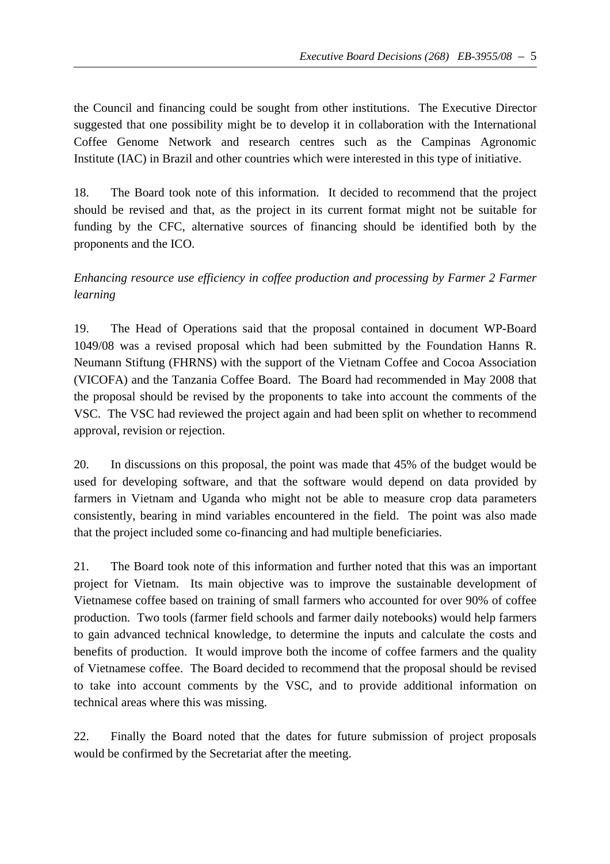the Council and financing could be sought from other institutions. The Executive Director suggested that one possibility might be to develop it in collaboration with the International Coffee Genome Network and research centres such as the Campinas Agronomic Institute (IAC) in Brazil and other countries which were interested in this type of initiative.

18. The Board took note of this information. It decided to recommend that the project should be revised and that, as the project in its current format might not be suitable for funding by the CFC, alternative sources of financing should be identified both by the proponents and the ICO.

# *Enhancing resource use efficiency in coffee production and processing by Farmer 2 Farmer learning*

19. The Head of Operations said that the proposal contained in document WP-Board 1049/08 was a revised proposal which had been submitted by the Foundation Hanns R. Neumann Stiftung (FHRNS) with the support of the Vietnam Coffee and Cocoa Association (VICOFA) and the Tanzania Coffee Board. The Board had recommended in May 2008 that the proposal should be revised by the proponents to take into account the comments of the VSC. The VSC had reviewed the project again and had been split on whether to recommend approval, revision or rejection.

20. In discussions on this proposal, the point was made that 45% of the budget would be used for developing software, and that the software would depend on data provided by farmers in Vietnam and Uganda who might not be able to measure crop data parameters consistently, bearing in mind variables encountered in the field. The point was also made that the project included some co-financing and had multiple beneficiaries.

21. The Board took note of this information and further noted that this was an important project for Vietnam. Its main objective was to improve the sustainable development of Vietnamese coffee based on training of small farmers who accounted for over 90% of coffee production. Two tools (farmer field schools and farmer daily notebooks) would help farmers to gain advanced technical knowledge, to determine the inputs and calculate the costs and benefits of production. It would improve both the income of coffee farmers and the quality of Vietnamese coffee. The Board decided to recommend that the proposal should be revised to take into account comments by the VSC, and to provide additional information on technical areas where this was missing.

22. Finally the Board noted that the dates for future submission of project proposals would be confirmed by the Secretariat after the meeting.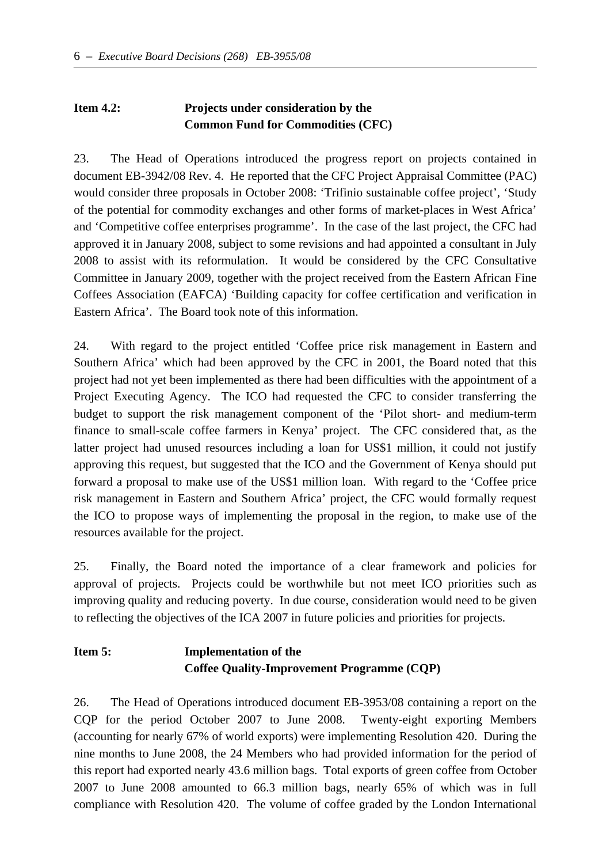# **Item 4.2: Projects under consideration by the Common Fund for Commodities (CFC)**

23. The Head of Operations introduced the progress report on projects contained in document EB-3942/08 Rev. 4. He reported that the CFC Project Appraisal Committee (PAC) would consider three proposals in October 2008: 'Trifinio sustainable coffee project', 'Study of the potential for commodity exchanges and other forms of market-places in West Africa' and 'Competitive coffee enterprises programme'. In the case of the last project, the CFC had approved it in January 2008, subject to some revisions and had appointed a consultant in July 2008 to assist with its reformulation. It would be considered by the CFC Consultative Committee in January 2009, together with the project received from the Eastern African Fine Coffees Association (EAFCA) 'Building capacity for coffee certification and verification in Eastern Africa'. The Board took note of this information.

24. With regard to the project entitled 'Coffee price risk management in Eastern and Southern Africa' which had been approved by the CFC in 2001, the Board noted that this project had not yet been implemented as there had been difficulties with the appointment of a Project Executing Agency. The ICO had requested the CFC to consider transferring the budget to support the risk management component of the 'Pilot short- and medium-term finance to small-scale coffee farmers in Kenya' project. The CFC considered that, as the latter project had unused resources including a loan for US\$1 million, it could not justify approving this request, but suggested that the ICO and the Government of Kenya should put forward a proposal to make use of the US\$1 million loan. With regard to the 'Coffee price risk management in Eastern and Southern Africa' project, the CFC would formally request the ICO to propose ways of implementing the proposal in the region, to make use of the resources available for the project.

25. Finally, the Board noted the importance of a clear framework and policies for approval of projects. Projects could be worthwhile but not meet ICO priorities such as improving quality and reducing poverty. In due course, consideration would need to be given to reflecting the objectives of the ICA 2007 in future policies and priorities for projects.

# **Item 5: Implementation of the Coffee Quality-Improvement Programme (CQP)**

26. The Head of Operations introduced document EB-3953/08 containing a report on the CQP for the period October 2007 to June 2008. Twenty-eight exporting Members (accounting for nearly 67% of world exports) were implementing Resolution 420. During the nine months to June 2008, the 24 Members who had provided information for the period of this report had exported nearly 43.6 million bags. Total exports of green coffee from October 2007 to June 2008 amounted to 66.3 million bags, nearly 65% of which was in full compliance with Resolution 420. The volume of coffee graded by the London International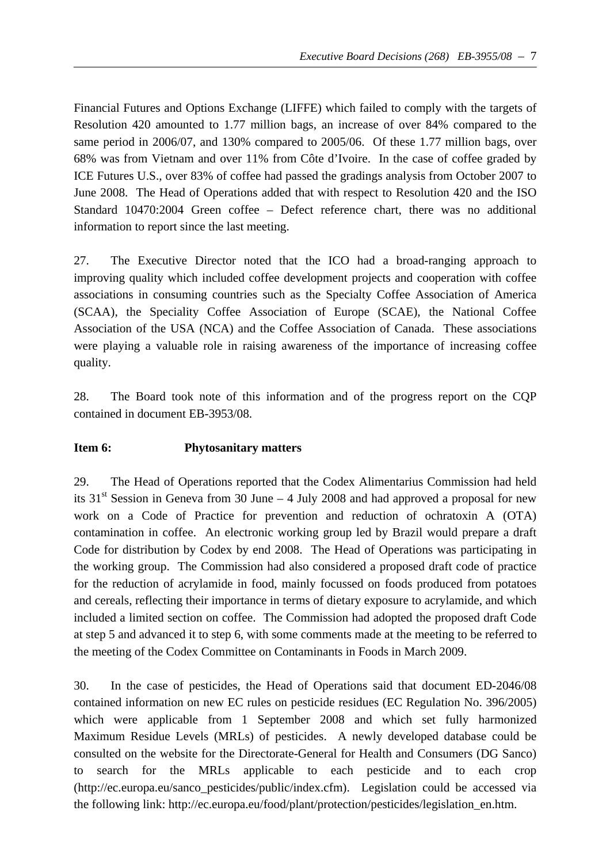Financial Futures and Options Exchange (LIFFE) which failed to comply with the targets of Resolution 420 amounted to 1.77 million bags, an increase of over 84% compared to the same period in 2006/07, and 130% compared to 2005/06. Of these 1.77 million bags, over 68% was from Vietnam and over 11% from Côte d'Ivoire. In the case of coffee graded by ICE Futures U.S., over 83% of coffee had passed the gradings analysis from October 2007 to June 2008. The Head of Operations added that with respect to Resolution 420 and the ISO Standard 10470:2004 Green coffee – Defect reference chart, there was no additional information to report since the last meeting.

27. The Executive Director noted that the ICO had a broad-ranging approach to improving quality which included coffee development projects and cooperation with coffee associations in consuming countries such as the Specialty Coffee Association of America (SCAA), the Speciality Coffee Association of Europe (SCAE), the National Coffee Association of the USA (NCA) and the Coffee Association of Canada. These associations were playing a valuable role in raising awareness of the importance of increasing coffee quality.

28. The Board took note of this information and of the progress report on the CQP contained in document EB-3953/08.

### **Item 6: Phytosanitary matters**

29. The Head of Operations reported that the Codex Alimentarius Commission had held its  $31<sup>st</sup>$  Session in Geneva from 30 June – 4 July 2008 and had approved a proposal for new work on a Code of Practice for prevention and reduction of ochratoxin A (OTA) contamination in coffee. An electronic working group led by Brazil would prepare a draft Code for distribution by Codex by end 2008. The Head of Operations was participating in the working group. The Commission had also considered a proposed draft code of practice for the reduction of acrylamide in food, mainly focussed on foods produced from potatoes and cereals, reflecting their importance in terms of dietary exposure to acrylamide, and which included a limited section on coffee. The Commission had adopted the proposed draft Code at step 5 and advanced it to step 6, with some comments made at the meeting to be referred to the meeting of the Codex Committee on Contaminants in Foods in March 2009.

30. In the case of pesticides, the Head of Operations said that document ED-2046/08 contained information on new EC rules on pesticide residues (EC Regulation No. 396/2005) which were applicable from 1 September 2008 and which set fully harmonized Maximum Residue Levels (MRLs) of pesticides. A newly developed database could be consulted on the website for the Directorate-General for Health and Consumers (DG Sanco) to search for the MRLs applicable to each pesticide and to each crop (http://ec.europa.eu/sanco\_pesticides/public/index.cfm). Legislation could be accessed via the following link: http://ec.europa.eu/food/plant/protection/pesticides/legislation\_en.htm.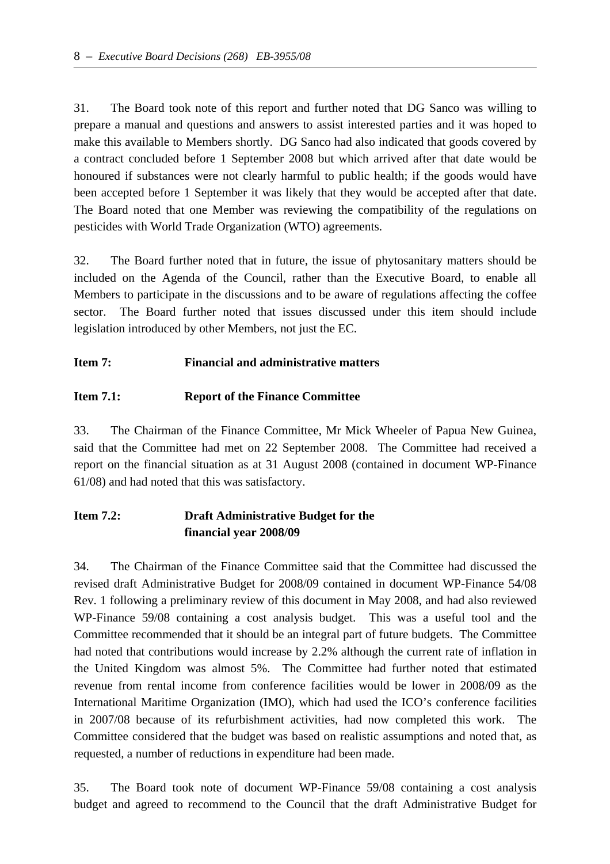31. The Board took note of this report and further noted that DG Sanco was willing to prepare a manual and questions and answers to assist interested parties and it was hoped to make this available to Members shortly. DG Sanco had also indicated that goods covered by a contract concluded before 1 September 2008 but which arrived after that date would be honoured if substances were not clearly harmful to public health; if the goods would have been accepted before 1 September it was likely that they would be accepted after that date. The Board noted that one Member was reviewing the compatibility of the regulations on pesticides with World Trade Organization (WTO) agreements.

32. The Board further noted that in future, the issue of phytosanitary matters should be included on the Agenda of the Council, rather than the Executive Board, to enable all Members to participate in the discussions and to be aware of regulations affecting the coffee sector. The Board further noted that issues discussed under this item should include legislation introduced by other Members, not just the EC.

### **Item 7: Financial and administrative matters**

### **Item 7.1: Report of the Finance Committee**

33. The Chairman of the Finance Committee, Mr Mick Wheeler of Papua New Guinea, said that the Committee had met on 22 September 2008. The Committee had received a report on the financial situation as at 31 August 2008 (contained in document WP-Finance 61/08) and had noted that this was satisfactory.

## **Item 7.2: Draft Administrative Budget for the financial year 2008/09**

34. The Chairman of the Finance Committee said that the Committee had discussed the revised draft Administrative Budget for 2008/09 contained in document WP-Finance 54/08 Rev. 1 following a preliminary review of this document in May 2008, and had also reviewed WP-Finance 59/08 containing a cost analysis budget. This was a useful tool and the Committee recommended that it should be an integral part of future budgets. The Committee had noted that contributions would increase by 2.2% although the current rate of inflation in the United Kingdom was almost 5%. The Committee had further noted that estimated revenue from rental income from conference facilities would be lower in 2008/09 as the International Maritime Organization (IMO), which had used the ICO's conference facilities in 2007/08 because of its refurbishment activities, had now completed this work. The Committee considered that the budget was based on realistic assumptions and noted that, as requested, a number of reductions in expenditure had been made.

35. The Board took note of document WP-Finance 59/08 containing a cost analysis budget and agreed to recommend to the Council that the draft Administrative Budget for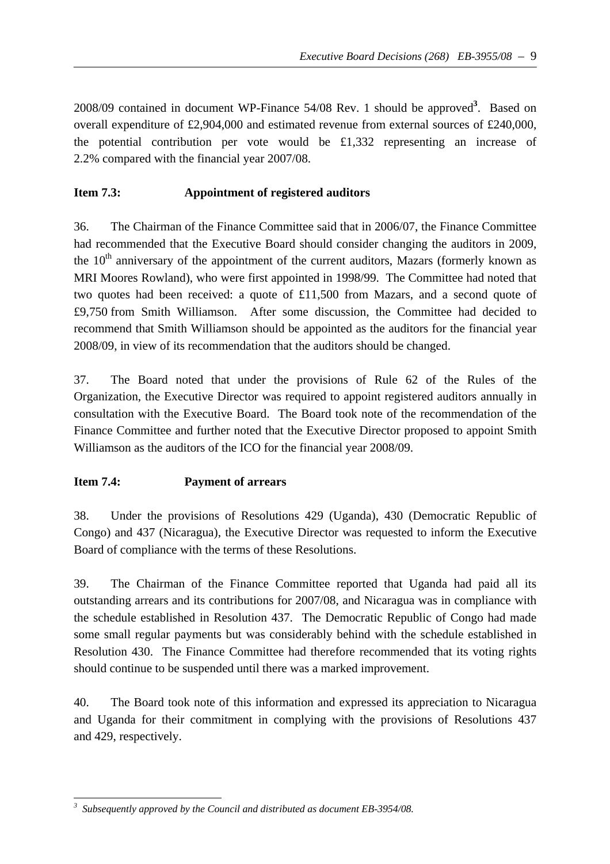2008/09 contained in document WP-Finance 54/08 Rev. 1 should be approved**<sup>3</sup>** . Based on overall expenditure of £2,904,000 and estimated revenue from external sources of £240,000, the potential contribution per vote would be £1,332 representing an increase of 2.2% compared with the financial year 2007/08.

### **Item 7.3: Appointment of registered auditors**

36. The Chairman of the Finance Committee said that in 2006/07, the Finance Committee had recommended that the Executive Board should consider changing the auditors in 2009, the  $10<sup>th</sup>$  anniversary of the appointment of the current auditors, Mazars (formerly known as MRI Moores Rowland), who were first appointed in 1998/99. The Committee had noted that two quotes had been received: a quote of £11,500 from Mazars, and a second quote of £9,750 from Smith Williamson. After some discussion, the Committee had decided to recommend that Smith Williamson should be appointed as the auditors for the financial year 2008/09, in view of its recommendation that the auditors should be changed.

37. The Board noted that under the provisions of Rule 62 of the Rules of the Organization, the Executive Director was required to appoint registered auditors annually in consultation with the Executive Board. The Board took note of the recommendation of the Finance Committee and further noted that the Executive Director proposed to appoint Smith Williamson as the auditors of the ICO for the financial year 2008/09.

### **Item 7.4: Payment of arrears**

38. Under the provisions of Resolutions 429 (Uganda), 430 (Democratic Republic of Congo) and 437 (Nicaragua), the Executive Director was requested to inform the Executive Board of compliance with the terms of these Resolutions.

39. The Chairman of the Finance Committee reported that Uganda had paid all its outstanding arrears and its contributions for 2007/08, and Nicaragua was in compliance with the schedule established in Resolution 437. The Democratic Republic of Congo had made some small regular payments but was considerably behind with the schedule established in Resolution 430. The Finance Committee had therefore recommended that its voting rights should continue to be suspended until there was a marked improvement.

40. The Board took note of this information and expressed its appreciation to Nicaragua and Uganda for their commitment in complying with the provisions of Resolutions 437 and 429, respectively.

 *3 Subsequently approved by the Council and distributed as document EB-3954/08.*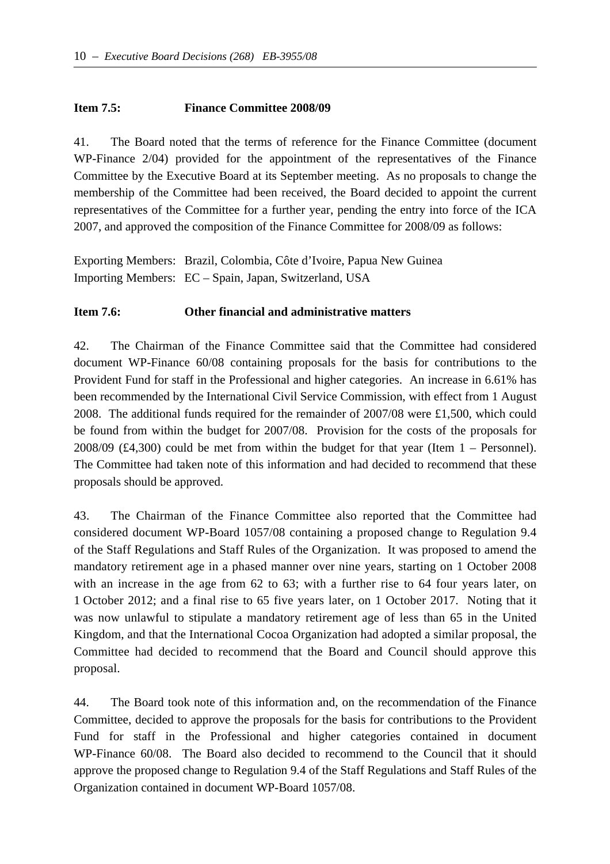#### **Item 7.5: Finance Committee 2008/09**

41. The Board noted that the terms of reference for the Finance Committee (document WP-Finance 2/04) provided for the appointment of the representatives of the Finance Committee by the Executive Board at its September meeting. As no proposals to change the membership of the Committee had been received, the Board decided to appoint the current representatives of the Committee for a further year, pending the entry into force of the ICA 2007, and approved the composition of the Finance Committee for 2008/09 as follows:

Exporting Members: Brazil, Colombia, Côte d'Ivoire, Papua New Guinea Importing Members: EC – Spain, Japan, Switzerland, USA

#### **Item 7.6: Other financial and administrative matters**

42. The Chairman of the Finance Committee said that the Committee had considered document WP-Finance 60/08 containing proposals for the basis for contributions to the Provident Fund for staff in the Professional and higher categories. An increase in 6.61% has been recommended by the International Civil Service Commission, with effect from 1 August 2008. The additional funds required for the remainder of 2007/08 were £1,500, which could be found from within the budget for 2007/08. Provision for the costs of the proposals for 2008/09 (£4,300) could be met from within the budget for that year (Item 1 – Personnel). The Committee had taken note of this information and had decided to recommend that these proposals should be approved.

43. The Chairman of the Finance Committee also reported that the Committee had considered document WP-Board 1057/08 containing a proposed change to Regulation 9.4 of the Staff Regulations and Staff Rules of the Organization. It was proposed to amend the mandatory retirement age in a phased manner over nine years, starting on 1 October 2008 with an increase in the age from 62 to 63; with a further rise to 64 four years later, on 1 October 2012; and a final rise to 65 five years later, on 1 October 2017. Noting that it was now unlawful to stipulate a mandatory retirement age of less than 65 in the United Kingdom, and that the International Cocoa Organization had adopted a similar proposal, the Committee had decided to recommend that the Board and Council should approve this proposal.

44. The Board took note of this information and, on the recommendation of the Finance Committee, decided to approve the proposals for the basis for contributions to the Provident Fund for staff in the Professional and higher categories contained in document WP-Finance 60/08. The Board also decided to recommend to the Council that it should approve the proposed change to Regulation 9.4 of the Staff Regulations and Staff Rules of the Organization contained in document WP-Board 1057/08.